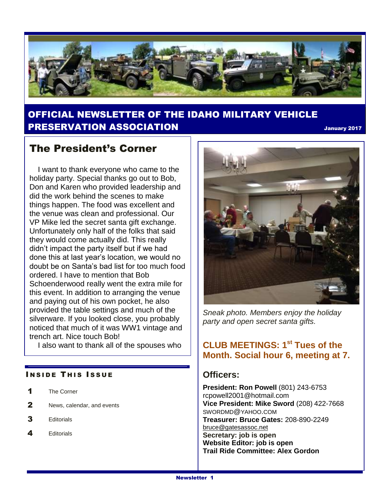

## OFFICIAL NEWSLETTER OF THE IDAHO MILITARY VEHICLE PRESERVATION ASSOCIATION January <sup>2017</sup>

## The President's Corner

 I want to thank everyone who came to the holiday party. Special thanks go out to Bob, Don and Karen who provided leadership and did the work behind the scenes to make things happen. The food was excellent and the venue was clean and professional. Our VP Mike led the secret santa gift exchange. Unfortunately only half of the folks that said they would come actually did. This really didn't impact the party itself but if we had done this at last year's location, we would no doubt be on Santa's bad list for too much food ordered. I have to mention that Bob Schoenderwood really went the extra mile for this event. In addition to arranging the venue and paying out of his own pocket, he also provided the table settings and much of the silverware. If you looked close, you probably noticed that much of it was WW1 vintage and trench art. Nice touch Bob!

I also want to thank all of the spouses who

#### **INSIDE THIS ISSUE**

- 1 The Corner
- 2 News, calendar, and events
- 3 Editorials
- 4 Editorials



*Sneak photo. Members enjoy the holiday party and open secret santa gifts.*

### **CLUB MEETINGS: 1st Tues of the Month. Social hour 6, meeting at 7.**

### **Officers:**

**President: Ron Powell** (801) 243-6753 rcpowell2001@hotmail.com **Vice President: Mike Sword** (208) 422-7668 SWORDMD@YAHOO.COM **Treasurer: Bruce Gates:** 208-890-2249 [bruce@gatesassoc.net](mailto:bruce@gatesassoc.net) **Secretary: job is open Website Editor: job is open Trail Ride Committee: Alex Gordon**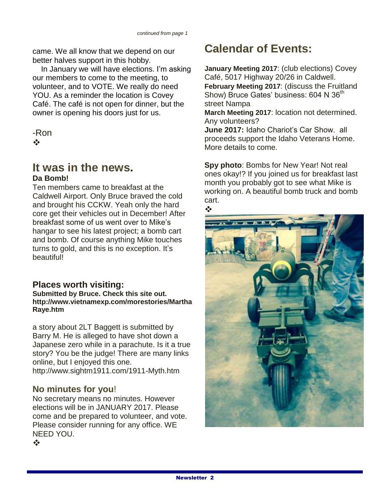came. We all know that we depend on our better halves support in this hobby.

 In January we will have elections. I'm asking our members to come to the meeting, to volunteer, and to VOTE. We really do need YOU. As a reminder the location is Covey Café. The café is not open for dinner, but the owner is opening his doors just for us.

-Ron  $\mathbf{e}^{\mathbf{e}}_{\mathbf{e}}$ 

# **It was in the news.**

#### **Da Bomb!**

Ten members came to breakfast at the Caldwell Airport. Only Bruce braved the cold and brought his CCKW. Yeah only the hard core get their vehicles out in December! After breakfast some of us went over to Mike's hangar to see his latest project; a bomb cart and bomb. Of course anything Mike touches turns to gold, and this is no exception. It's beautiful!

**Places worth visiting:**

**Submitted by Bruce. Check this site out. http://www.vietnamexp.com/morestories/Martha Raye.htm**

a story about 2LT Baggett is submitted by Barry M. He is alleged to have shot down a Japanese zero while in a parachute. Is it a true story? You be the judge! There are many links online, but I enjoyed this one. http://www.sightm1911.com/1911-Myth.htm

### **No minutes for you**!

No secretary means no minutes. However elections will be in JANUARY 2017. Please come and be prepared to volunteer, and vote. Please consider running for any office. WE NEED YOU.  $\frac{1}{2}$ 

# **Calendar of Events:**

**January Meeting 2017**: (club elections) Covey Café, 5017 Highway 20/26 in Caldwell. **February Meeting 2017**: (discuss the Fruitland Show) Bruce Gates' business: 604 N 36<sup>th</sup> street Nampa

**March Meeting 2017**: location not determined. Any volunteers?

**June 2017:** Idaho Chariot's Car Show. all proceeds support the Idaho Veterans Home. More details to come.

**Spy photo**: Bombs for New Year! Not real ones okay!? If you joined us for breakfast last month you probably got to see what Mike is working on. A beautiful bomb truck and bomb cart.

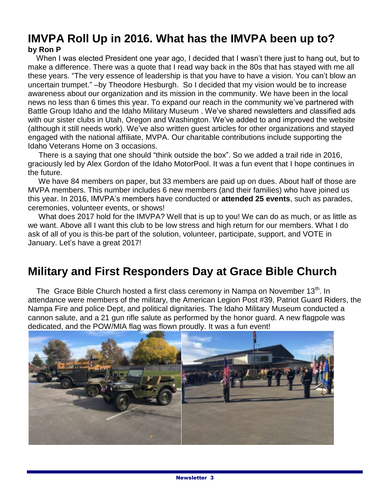## **IMVPA Roll Up in 2016. What has the IMVPA been up to? by Ron P**

 When I was elected President one year ago, I decided that I wasn't there just to hang out, but to make a difference. There was a quote that I read way back in the 80s that has stayed with me all these years. "The very essence of leadership is that you have to have a vision. You can't blow an uncertain trumpet." –by Theodore Hesburgh. So I decided that my vision would be to increase awareness about our organization and its mission in the community. We have been in the local news no less than 6 times this year. To expand our reach in the community we've partnered with Battle Group Idaho and the Idaho Military Museum . We've shared newsletters and classified ads with our sister clubs in Utah, Oregon and Washington. We've added to and improved the website (although it still needs work). We've also written guest articles for other organizations and stayed engaged with the national affiliate, MVPA. Our charitable contributions include supporting the Idaho Veterans Home on 3 occasions.

 There is a saying that one should "think outside the box". So we added a trail ride in 2016, graciously led by Alex Gordon of the Idaho MotorPool. It was a fun event that I hope continues in the future.

 We have 84 members on paper, but 33 members are paid up on dues. About half of those are MVPA members. This number includes 6 new members (and their families) who have joined us this year. In 2016, IMVPA's members have conducted or **attended 25 events**, such as parades, ceremonies, volunteer events, or shows!

 What does 2017 hold for the IMVPA? Well that is up to you! We can do as much, or as little as we want. Above all I want this club to be low stress and high return for our members. What I do ask of all of you is this-be part of the solution, volunteer, participate, support, and VOTE in January. Let's have a great 2017!

# **Military and First Responders Day at Grace Bible Church**

The Grace Bible Church hosted a first class ceremony in Nampa on November 13<sup>th</sup>. In attendance were members of the military, the American Legion Post #39, Patriot Guard Riders, the Nampa Fire and police Dept, and political dignitaries. The Idaho Military Museum conducted a cannon salute, and a 21 gun rifle salute as performed by the honor guard. A new flagpole was dedicated, and the POW/MIA flag was flown proudly. It was a fun event!